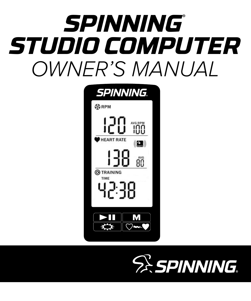# OWNER'S MANUAL *SPINNING*® *STUDIO COMPUTER*



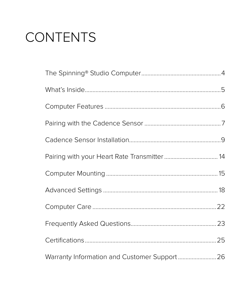### **CONTENTS**

| Warranty Information and Customer Support 26 |  |
|----------------------------------------------|--|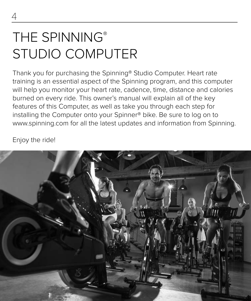### THE SPINNING® STUDIO COMPUTER

Thank you for purchasing the Spinning® Studio Computer. Heart rate training is an essential aspect of the Spinning program, and this computer will help you monitor your heart rate, cadence, time, distance and calories burned on every ride. This owner's manual will explain all of the key features of this Computer, as well as take you through each step for installing the Computer onto your Spinner® bike. Be sure to log on to www.spinning.com for all the latest updates and information from Spinning.

Enjoy the ride!

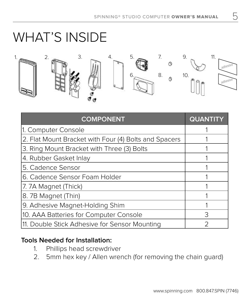### WHAT'S INSIDE



| <b>COMPONENT</b>                                      | <b>QUANTITY</b> |
|-------------------------------------------------------|-----------------|
| 1. Computer Console                                   |                 |
| 2. Flat Mount Bracket with Four (4) Bolts and Spacers |                 |
| 3. Ring Mount Bracket with Three (3) Bolts            |                 |
| 4. Rubber Gasket Inlay                                |                 |
| 5. Cadence Sensor                                     |                 |
| 6. Cadence Sensor Foam Holder                         |                 |
| 7.7A Magnet (Thick)                                   |                 |
| 8. 7B Magnet (Thin)                                   |                 |
| 9. Adhesive Magnet-Holding Shim                       |                 |
| 10. AAA Batteries for Computer Console                | 3               |
| 11. Double Stick Adhesive for Sensor Mounting         |                 |

### **Tools Needed for Installation:**

- 1. Phillips head screwdriver
- 2. 5mm hex key / Allen wrench (for removing the chain guard)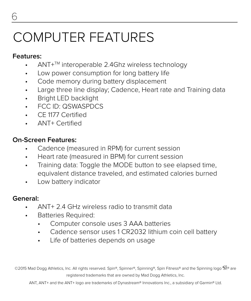### COMPUTER FEATURES

### **Features:**

- ANT+TM interoperable 2.4Ghz wireless technology
- Low power consumption for long battery life
- Code memory during battery displacement
- Large three line display; Cadence, Heart rate and Training data
- Bright LED backlight
- FCC ID: QSWASPDCS
- CE 1177 Certified
- ANT+ Certified

### **On-Screen Features:**

- Cadence (measured in RPM) for current session
- Heart rate (measured in BPM) for current session
- Training data: Toggle the MODE button to see elapsed time, equivalent distance traveled, and estimated calories burned
- Low battery indicator

#### **General:**

- ANT+ 2.4 GHz wireless radio to transmit data
- Batteries Required:
	- Computer console uses 3 AAA batteries
	- Cadence sensor uses 1 CR2032 lithium coin cell battery
	- Life of batteries depends on usage

©2015 Mad Dogg Athletics, Inc. All rights reserved. Spin®, Spinner®, Spinning®, Spin Fitness® and the Spinning logo  $\widehat{\mathbb{Z}}^{\otimes}$  are registered trademarks that are owned by Mad Dogg Athletics, Inc.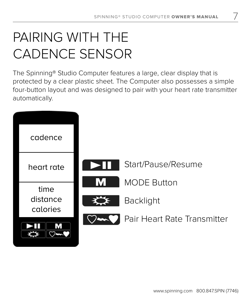7

### PAIRING WITH THE CADENCE SENSOR

The Spinning® Studio Computer features a large, clear display that is protected by a clear plastic sheet. The Computer also possesses a simple four-button layout and was designed to pair with your heart rate transmitter automatically.

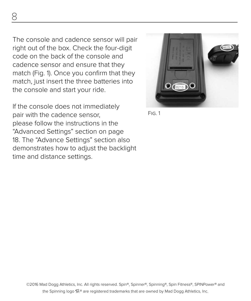The console and cadence sensor will pair right out of the box. Check the four-digit code on the back of the console and cadence sensor and ensure that they match (Fig. 1). Once you confirm that they match, just insert the three batteries into the console and start your ride.

If the console does not immediately pair with the cadence sensor, please follow the instructions in the "Advanced Settings" section on page 18. The "Advance Settings" section also demonstrates how to adjust the backlight time and distance settings.



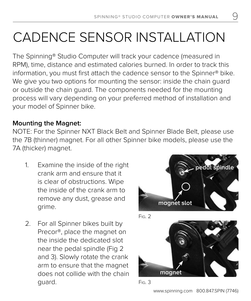9

# CADENCE SENSOR INSTALLATION

The Spinning® Studio Computer will track your cadence (measured in RPM), time, distance and estimated calories burned. In order to track this information, you must first attach the cadence sensor to the Spinner® bike. We give you two options for mounting the sensor: inside the chain guard or outside the chain guard. The components needed for the mounting process will vary depending on your preferred method of installation and your model of Spinner bike.

### **Mounting the Magnet:**

NOTE: For the Spinner NXT Black Belt and Spinner Blade Belt, please use the 7B (thinner) magnet. For all other Spinner bike models, please use the 7A (thicker) magnet.

- 1. Examine the inside of the right crank arm and ensure that it is clear of obstructions. Wipe the inside of the crank arm to remove any dust, grease and grime.
- 2. For all Spinner bikes built by Precor®, place the magnet on the inside the dedicated slot near the pedal spindle (Fig 2 and 3). Slowly rotate the crank arm to ensure that the magnet does not collide with the chain guard.



www.spinning.com 800.847.SPIN (7746)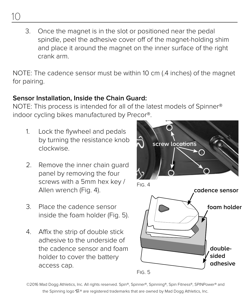- 3. Once the magnet is in the slot or positioned near the pedal spindle, peel the adhesive cover off of the magnet-holding shim
	- and place it around the magnet on the inner surface of the right crank arm.

NOTE: The cadence sensor must be within 10 cm (.4 inches) of the magnet for pairing.

### **Sensor Installation, Inside the Chain Guard:**

NOTE: This process is intended for all of the latest models of Spinner® indoor cycling bikes manufactured by Precor®.

- 1. Lock the flywheel and pedals by turning the resistance knob clockwise.
- 2. Remove the inner chain guard panel by removing the four screws with a 5mm hex key / Allen wrench (Fig. 4).
- 3. Place the cadence sensor inside the foam holder (Fig. 5).
- 4. Affix the strip of double stick adhesive to the underside of the cadence sensor and foam holder to cover the battery access cap.



Fig. 5

©2016 Mad Dogg Athletics, Inc. All rights reserved. Spin®, Spinner®, Spinning®, Spin Fitness®, SPINPower® and the Spinning logo  $\mathbb{S}^*$  are registered trademarks that are owned by Mad Dogg Athletics, Inc.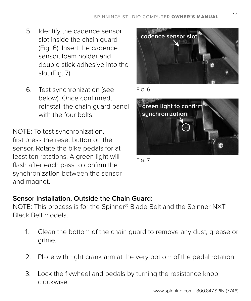- 5. Identify the cadence sensor slot inside the chain guard (Fig. 6). Insert the cadence sensor, foam holder and double stick adhesive into the slot (Fig. 7).
- 6. Test synchronization (see below). Once confirmed, reinstall the chain guard panel with the four bolts.

NOTE: To test synchronization, first press the reset button on the sensor. Rotate the bike pedals for at least ten rotations. A green light will flash after each pass to confirm the synchronization between the sensor and magnet.



11

Fig. 6



Fig. 7

#### **Sensor Installation, Outside the Chain Guard:**

NOTE: This process is for the Spinner® Blade Belt and the Spinner NXT Black Belt models.

- 1. Clean the bottom of the chain guard to remove any dust, grease or grime.
- 2. Place with right crank arm at the very bottom of the pedal rotation.
- 3. Lock the flywheel and pedals by turning the resistance knob clockwise.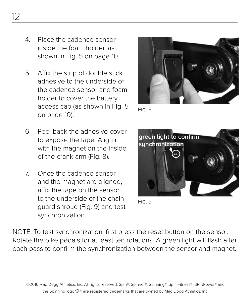- 4. Place the cadence sensor inside the foam holder, as shown in Fig. 5 on page 10.
- 5. Affix the strip of double stick adhesive to the underside of the cadence sensor and foam holder to cover the battery access cap (as shown in Fig. 5 on page 10).
- 6. Peel back the adhesive cover to expose the tape. Align it with the magnet on the inside of the crank arm (Fig. 8).
- 7. Once the cadence sensor and the magnet are aligned, affix the tape on the sensor to the underside of the chain guard shroud (Fig. 9) and test synchronization.



Fig. 8



Fig. 9

NOTE: To test synchronization, first press the reset button on the sensor. Rotate the bike pedals for at least ten rotations. A green light will flash after each pass to confirm the synchronization between the sensor and magnet.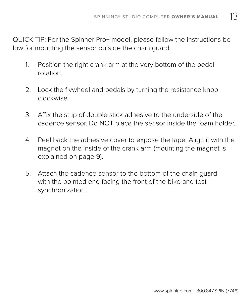13

QUICK TIP: For the Spinner Pro+ model, please follow the instructions below for mounting the sensor outside the chain guard:

- 1. Position the right crank arm at the very bottom of the pedal rotation.
- 2. Lock the flywheel and pedals by turning the resistance knob clockwise.
- 3. Affix the strip of double stick adhesive to the underside of the cadence sensor. Do NOT place the sensor inside the foam holder.
- 4. Peel back the adhesive cover to expose the tape. Align it with the magnet on the inside of the crank arm (mounting the magnet is explained on page 9).
- 5. Attach the cadence sensor to the bottom of the chain guard with the pointed end facing the front of the bike and test synchronization.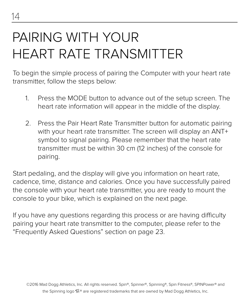### PAIRING WITH YOUR HEART RATE TRANSMITTER

To begin the simple process of pairing the Computer with your heart rate transmitter, follow the steps below:

- 1. Press the MODE button to advance out of the setup screen. The heart rate information will appear in the middle of the display.
- 2. Press the Pair Heart Rate Transmitter button for automatic pairing with your heart rate transmitter. The screen will display an ANT+ symbol to signal pairing. Please remember that the heart rate transmitter must be within 30 cm (12 inches) of the console for pairing.

Start pedaling, and the display will give you information on heart rate, cadence, time, distance and calories. Once you have successfully paired the console with your heart rate transmitter, you are ready to mount the console to your bike, which is explained on the next page.

If you have any questions regarding this process or are having difficulty pairing your heart rate transmitter to the computer, please refer to the "Frequently Asked Questions" section on page 23.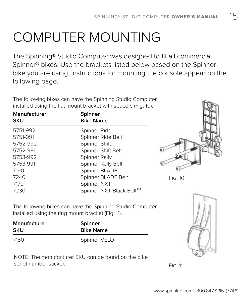## COMPUTER MOUNTING

The Spinning® Studio Computer was designed to fit all commercial Spinner® bikes. Use the brackets listed below based on the Spinner bike you are using. Instructions for mounting the console appear on the following page.

The following bikes can have the Spinning Studio Computer installed using the flat mount bracket with spacers (Fig. 10).

| Manufacturer<br><b>SKU</b> | Spinner<br><b>Bike Name</b> |
|----------------------------|-----------------------------|
| 5751-992                   | Spinner Ride                |
| 5751-991                   | Spinner Ride Belt           |
| 5752-992                   | Spinner Shift               |
| 5752-991                   | Spinner Shift Belt          |
| 5753-992                   | Spinner Rally               |
| 5753-991                   | Spinner Rally Belt          |
| 7190                       | Spinner BLADE               |
| 7240                       | Spinner BLADE Belt          |
| 7170                       | Spinner NXT                 |
| 7230                       | Spinner NXT Black Belt™     |
|                            |                             |



15

 $Fig. 10$ 

The following bikes can have the Spinning Studio Computer installed using the ring mount bracket (Fig. 11).

| Manufacturer | Spinner          |
|--------------|------------------|
| SKU          | <b>Bike Name</b> |
| 7150         | Spinner VELO     |

NOTE: The manufacturer SKU can be found on the bike serial number sticker.



Fig. 11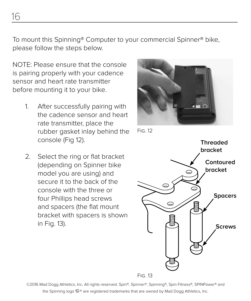To mount this Spinning® Computer to your commercial Spinner® bike, please follow the steps below.

NOTE: Please ensure that the console is pairing properly with your cadence sensor and heart rate transmitter before mounting it to your bike.

- 1. After successfully pairing with the cadence sensor and heart rate transmitter, place the rubber gasket inlay behind the console (Fig 12).
- 2. Select the ring or flat bracket (depending on Spinner bike model you are using) and secure it to the back of the console with the three or four Phillips head screws and spacers (the flat mount bracket with spacers is shown in Fig. 13).



Fig. 12



Fig. 13

©2016 Mad Dogg Athletics, Inc. All rights reserved. Spin®, Spinner®, Spinning®, Spin Fitness®, SPINPower® and the Spinning logo  $\mathbb{S}^*$  are registered trademarks that are owned by Mad Dogg Athletics, Inc.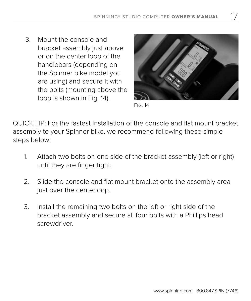3. Mount the console and bracket assembly just above or on the center loop of the handlebars (depending on the Spinner bike model you are using) and secure it with the bolts (mounting above the loop is shown in Fig. 14).



17

Fig. 14

QUICK TIP: For the fastest installation of the console and flat mount bracket assembly to your Spinner bike, we recommend following these simple steps below:

- 1. Attach two bolts on one side of the bracket assembly (left or right) until they are finger tight.
- 2. Slide the console and flat mount bracket onto the assembly area just over the centerloop.
- 3. Install the remaining two bolts on the left or right side of the bracket assembly and secure all four bolts with a Phillips head screwdriver.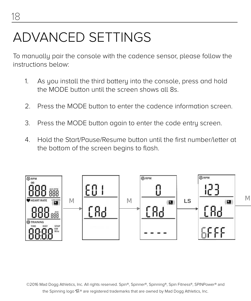### ADVANCED SETTINGS

To manually pair the console with the cadence sensor, please follow the instructions below:

- 1. As you install the third battery into the console, press and hold As you model the time buttery mio the console, press and note the MODE button until the screen shows all 8s.
- 2. Press the MODE button to enter the cadence information screen.
- 3. Press the MODE button again to enter the code entry screen.
- 4. Hold the Start/Pause/Resume button until the first number/letter at the bottom of the screen begins to flash.



©2016 Mad Dogg Athletics, Inc. All rights reserved. Spin®, Spinner®, Spinning®, Spin Fitness®, SPINPower® and<br>© the Spinning logo  $\mathbb{S}^*$  are registered trademarks that are owned by Mad Dogg Athletics, Inc.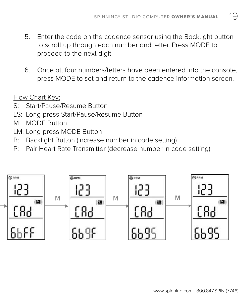19

- 5. Enter the code on the cadence sensor using the Backlight button to scroll up through each number and letter. Press MODE to proceed to the next digit.
- E1 E2a E3a E3a-1 \*1 E4a E5a 6. Once all four numbers/letters have been entered into the console, press MODE to set and return to the cadence information screen.

Flow Chart Key:

- S: Start/Pause/Resume Button
- LS: Long press Start/Pause/Resume Button
- M: MODE Button
	- LM: Long press MODE Button
	- B: Backlight Button (increase number in code setting)
	- P: Pair Heart Rate Transmitter (decrease number in code setting)

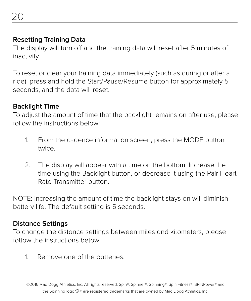### **Resetting Training Data**

The display will turn off and the training data will reset after 5 minutes of inactivity.

To reset or clear your training data immediately (such as during or after a ride), press and hold the Start/Pause/Resume button for approximately 5 seconds, and the data will reset.

### **Backlight Time**

To adjust the amount of time that the backlight remains on after use, please follow the instructions below:

- 1. From the cadence information screen, press the MODE button twice.
- 2. The display will appear with a time on the bottom. Increase the time using the Backlight button, or decrease it using the Pair Heart Rate Transmitter button.

NOTE: Increasing the amount of time the backlight stays on will diminish battery life. The default setting is 5 seconds.

#### **Distance Settings**

To change the distance settings between miles and kilometers, please follow the instructions below:

1. Remove one of the batteries.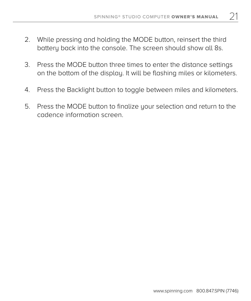21

- 2. While pressing and holding the MODE button, reinsert the third battery back into the console. The screen should show all 8s.
- 3. Press the MODE button three times to enter the distance settings on the bottom of the display. It will be flashing miles or kilometers.
- 4. Press the Backlight button to toggle between miles and kilometers.
- 5. Press the MODE button to finalize your selection and return to the cadence information screen.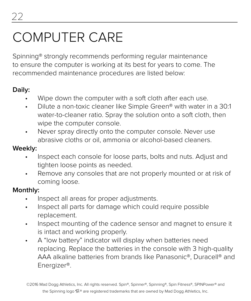### COMPUTER CARE

Spinning® strongly recommends performing regular maintenance to ensure the computer is working at its best for years to come. The recommended maintenance procedures are listed below:

### **Daily:**

- Wipe down the computer with a soft cloth after each use.
- Dilute a non-toxic cleaner like Simple Green® with water in a 30:1 water-to-cleaner ratio. Spray the solution onto a soft cloth, then wipe the computer console.
- Never spray directly onto the computer console. Never use abrasive cloths or oil, ammonia or alcohol-based cleaners.

#### **Weekly:**

- Inspect each console for loose parts, bolts and nuts. Adjust and tighten loose points as needed.
- Remove any consoles that are not properly mounted or at risk of coming loose.

### **Monthly:**

- Inspect all areas for proper adjustments.
- Inspect all parts for damage which could require possible replacement.
- Inspect mounting of the cadence sensor and magnet to ensure it is intact and working properly.
- A "low battery" indicator will display when batteries need replacing. Replace the batteries in the console with 3 high-quality AAA alkaline batteries from brands like Panasonic®, Duracell® and Energizer®.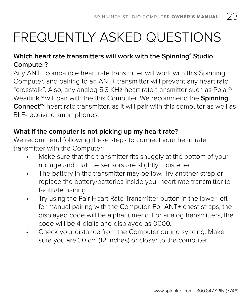### FREQUENTLY ASKED QUESTIONS

### **Which heart rate transmitters will work with the Spinning® Studio Computer?**

Any ANT+ compatible heart rate transmitter will work with this Spinning Computer, and pairing to an ANT+ transmitter will prevent any heart rate "crosstalk". Also, any analog 5.3 KHz heart rate transmitter such as Polar® Wearlink<sup>™</sup> will pair with the this Computer. We recommend the **Spinning** Connect<sup>™</sup> heart rate transmitter, as it will pair with this computer as well as BLE-receiving smart phones.

### **What if the computer is not picking up my heart rate?**

We recommend following these steps to connect your heart rate transmitter with the Computer:

- Make sure that the transmitter fits snuggly at the bottom of your ribcage and that the sensors are slightly moistened.
- The battery in the transmitter may be low. Try another strap or replace the battery/batteries inside your heart rate transmitter to facilitate pairing.
- Try using the Pair Heart Rate Transmitter button in the lower left for manual pairing with the Computer. For ANT+ chest straps, the displayed code will be alphanumeric. For analog transmitters, the code will be 4-digits and displayed as 0000.
- Check your distance from the Computer during syncing. Make sure you are 30 cm (12 inches) or closer to the computer.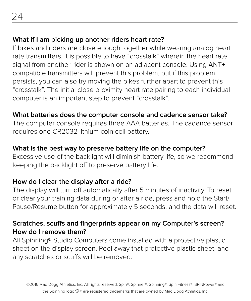### **What if I am picking up another riders heart rate?**

If bikes and riders are close enough together while wearing analog heart rate transmitters, it is possible to have "crosstalk" wherein the heart rate signal from another rider is shown on an adjacent console. Using ANT+ compatible transmitters will prevent this problem, but if this problem persists, you can also try moving the bikes further apart to prevent this "crosstalk". The initial close proximity heart rate pairing to each individual computer is an important step to prevent "crosstalk".

### **What batteries does the computer console and cadence sensor take?**

The computer console requires three AAA batteries. The cadence sensor requires one CR2032 lithium coin cell battery.

### **What is the best way to preserve battery life on the computer?**

Excessive use of the backlight will diminish battery life, so we recommend keeping the backlight off to preserve battery life.

#### **How do I clear the display after a ride?**

The display will turn off automatically after 5 minutes of inactivity. To reset or clear your training data during or after a ride, press and hold the Start/ Pause/Resume button for approximately 5 seconds, and the data will reset.

#### **Scratches, scuffs and fingerprints appear on my Computer's screen? How do I remove them?**

All Spinning® Studio Computers come installed with a protective plastic sheet on the display screen. Peel away that protective plastic sheet, and any scratches or scuffs will be removed.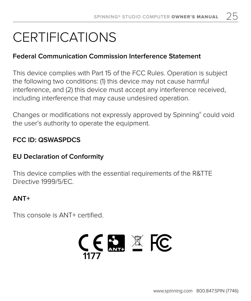### CERTIFICATIONS

#### **Federal Communication Commission Interference Statement**

This device complies with Part 15 of the FCC Rules. Operation is subject the following two conditions: (1) this device may not cause harmful interference, and (2) this device must accept any interference received, including interference that may cause undesired operation.

Changes or modifications not expressly approved by Spinning® could void the user's authority to operate the equipment.

### **FCC ID: QSWASPDCS**

#### **EU Declaration of Conformity**

This device complies with the essential requirements of the R&TTE Directive 1999/5/EC.

#### **ANT+**

This console is ANT+ certified.

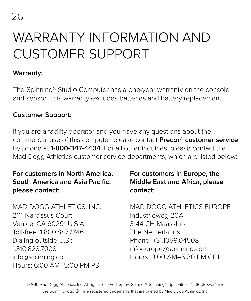### WARRANTY INFORMATION AND CUSTOMER SUPPORT

#### **Warranty:**

The Spinning® Studio Computer has a one-year warranty on the console and sensor. This warranty excludes batteries and battery replacement.

#### **Customer Support:**

If you are a facility operator and you have any questions about the commercial use of this computer, please contact **Precor® customer service** by phone at **1-800-347-4404**. For all other inquiries, please contact the Mad Dogg Athletics customer service departments, which are listed below:

### **For customers in North America, South America and Asia Pacific, please contact:**

MAD DOGG ATHLETICS, INC. 2111 Narcissus Court Venice, CA 90291 U.S.A. Toll-free: 1.800.847.7746 Dialing outside U.S.: 1.310.823.7008 info@spinning.com Hours: 6:00 AM–5:00 PM PST

### **For customers in Europe, the Middle East and Africa, please contact:**

MAD DOGG ATHLETICS EUROPE Industrieweg 20A 3144 CH Maassluis The Netherlands Phone: +31.1059.04508 infoeurope@spinning.com Hours: 9:00 AM–5:30 PM CET

©2016 Mad Dogg Athletics, Inc. All rights reserved. Spin®, Spinner®, Spinning®, Spin Fitness®, SPINPower® and the Spinning logo  $\mathbb{S}^*$  are registered trademarks that are owned by Mad Dogg Athletics, Inc.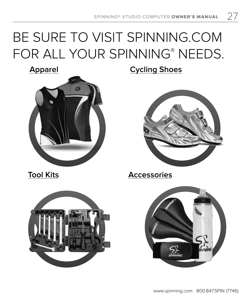### BE SURE TO VISIT SPINNING.COM FOR ALL YOUR SPINNING® NEEDS.



**Apparel Cycling Shoes**



**Tool Kits Accessories**